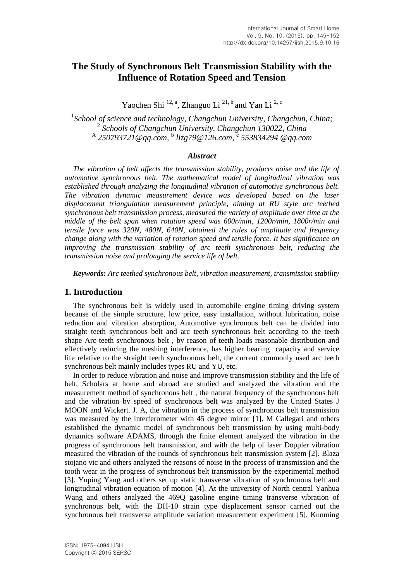# **The Study of Synchronous Belt Transmission Stability with the Influence of Rotation Speed and Tension**

Yaochen Shi  $^{12, a}$ , Zhanguo Li  $^{21, b}$  and Yan Li  $^{2, c}$ 

1 *School of science and technology, Changchun University, Changchun, China;* 2 *Schools of Changchun University, Changchun 130022, China* A *250793721@qq.com,* <sup>b</sup> *lizg79@126.com,* <sup>c</sup> *553834294 @qq.com*

## *Abstract*

*The vibration of belt affects the transmission stability, products noise and the life of automotive synchronous belt. The mathematical model of longitudinal vibration was established through analyzing the longitudinal vibration of automotive synchronous belt. The vibration dynamic measurement device was developed based on the laser displacement triangulation measurement principle, aiming at RU style arc teethed synchronous belt transmission process, measured the variety of amplitude over time at the middle of the belt span when rotation speed was 600r/min, 1200r/min, 1800r/min and tensile force was 320N, 480N, 640N, obtained the rules of amplitude and frequency change along with the variation of rotation speed and tensile force. It has significance on improving the transmission stability of arc teeth synchronous belt, reducing the transmission noise and prolonging the service life of belt.*

*Keywords: Arc teethed synchronous belt, vibration measurement, transmission stability*

## **1. Introduction**

The synchronous belt is widely used in automobile engine timing driving system because of the simple structure, low price, easy installation, without lubrication, noise reduction and vibration absorption, Automotive synchronous belt can be divided into straight teeth synchronous belt and arc teeth synchronous belt according to the teeth shape Arc teeth synchronous belt , by reason of teeth loads reasonable distribution and effectively reducing the meshing interference, has higher bearing capacity and service life relative to the straight teeth synchronous belt, the current commonly used arc teeth synchronous belt mainly includes types RU and YU, etc.

In order to reduce vibration and noise and improve transmission stability and the life of belt, Scholars at home and abroad are studied and analyzed the vibration and the measurement method of synchronous belt , the natural frequency of the synchronous belt and the vibration by speed of synchronous belt was analyzed by the United States J MOON and Wickert. J. A, the vibration in the process of synchronous belt transmission was measured by the interferometer with 45 degree mirror [1]. M Callegari and others established the dynamic model of synchronous belt transmission by using multi-body dynamics software ADAMS, through the finite element analyzed the vibration in the progress of synchronous belt transmission, and with the help of laser Doppler vibration measured the vibration of the rounds of synchronous belt transmission system [2]. Blaza stojano vic and others analyzed the reasons of noise in the process of transmission and the tooth wear in the progress of synchronous belt transmission by the experimental method [3]. Yuping Yang and others set up static transverse vibration of synchronous belt and longitudinal vibration equation of motion [4]. At the university of North central Yanhua Wang and others analyzed the 469Q gasoline engine timing transverse vibration of synchronous belt, with the DH-10 strain type displacement sensor carried out the synchronous belt transverse amplitude variation measurement experiment [5]. Kunming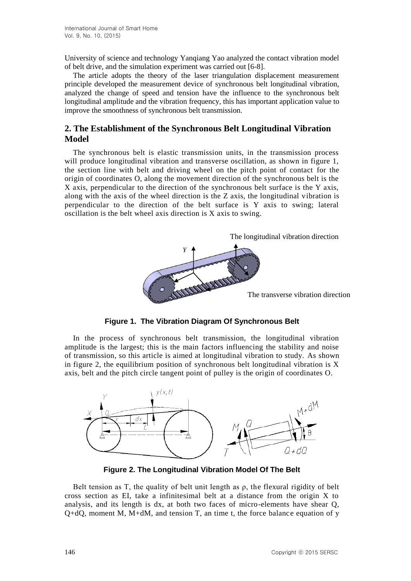University of science and technology Yanqiang Yao analyzed the contact vibration model of belt drive, and the simulation experiment was carried out [6-8].

The article adopts the theory of the laser triangulation displacement measurement principle developed the measurement device of synchronous belt longitudinal vibration, analyzed the change of speed and tension have the influence to the synchronous belt longitudinal amplitude and the vibration frequency, this has important application value to improve the smoothness of synchronous belt transmission.

# **2. The Establishment of the Synchronous Belt Longitudinal Vibration Model**

The synchronous belt is elastic transmission units, in the transmission process will produce longitudinal vibration and transverse oscillation, as shown in figure 1, the section line with belt and driving wheel on the pitch point of contact for the origin of coordinates O, along the movement direction of the synchronous belt is the X axis, perpendicular to the direction of the synchronous belt surface is the Y axis, along with the axis of the wheel direction is the Z axis, the longitudinal vibration is perpendicular to the direction of the belt surface is Y axis to swing; lateral oscillation is the belt wheel axis direction is X axis to swing.



**Figure 1. The Vibration Diagram Of Synchronous Belt**

In the process of synchronous belt transmission, the longitudinal vibration amplitude is the largest; this is the main factors influencing the stability and noise of transmission, so this article is aimed at longitudinal vibration to study. As shown in figure 2, the equilibrium position of synchronous belt longitudinal vibration is  $X$ axis, belt and the pitch circle tangent point of pulley is the origin of coordinates O.



**Figure 2. The Longitudinal Vibration Model Of The Belt**

Belt tension as T, the quality of belt unit length as  $\rho$ , the flexural rigidity of belt cross section as EI, take a infinitesimal belt at a distance from the origin X to analysis, and its length is dx, at both two faces of micro-elements have shear Q,  $Q+dQ$ , moment M, M+dM, and tension T, an time t, the force balance equation of y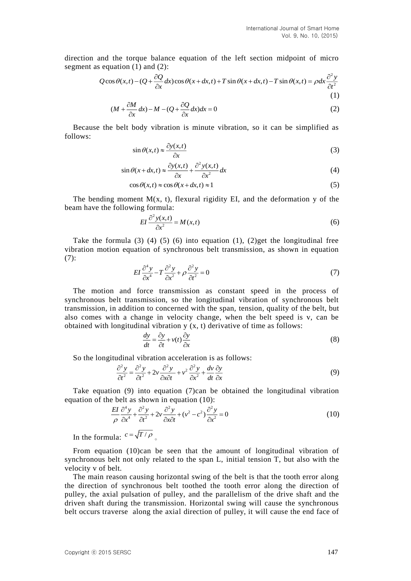direction and the torque balance equation of the left section midpoint of micro segment as equation  $(1)$  and  $(2)$ :

$$
Q\cos\theta(x,t) - (Q + \frac{\partial Q}{\partial x}dx)\cos\theta(x+dx,t) + T\sin\theta(x+dx,t) - T\sin\theta(x,t) = \rho dx \frac{\partial^2 y}{\partial t^2}
$$
\n(1)

$$
(M + \frac{\partial M}{\partial x}dx) - M - (Q + \frac{\partial Q}{\partial x}dx)dx = 0
$$
\n(1)

Because the belt body vibration is minute vibration, so it can be simplified as follows:

$$
\sin \theta(x,t) \approx \frac{\partial y(x,t)}{\partial x} \tag{3}
$$

$$
\sin \theta(x + dx, t) \approx \frac{\partial y(x, t)}{\partial x} + \frac{\partial^2 y(x, t)}{\partial x^2} dx
$$
\n(4)

$$
\cos \theta(x, t) \approx \cos \theta(x + dx, t) \approx 1\tag{5}
$$

The bending moment  $M(x, t)$ , flexural rigidity EI, and the deformation y of the beam have the following formula:

$$
EI\frac{\partial^2 y(x,t)}{\partial x^2} = M(x,t)
$$
 (6)

Take the formula (3) (4) (5) (6) into equation (1), (2)get the longitudinal free vibration motion equation of synchronous belt transmission, as shown in equation (7):

$$
EI\frac{\partial^4 y}{\partial x^4} - T\frac{\partial^2 y}{\partial x^2} + \rho \frac{\partial^2 y}{\partial t^2} = 0
$$
\n(7)

The motion and force transmission as constant speed in the process of synchronous belt transmission, so the longitudinal vibration of synchronous belt transmission, in addition to concerned with the span, tension, quality of the belt, but also comes with a change in velocity change, when the belt speed is v, can be obtained with longitudinal vibration y (x, t) derivative of time as follows:

$$
\frac{dy}{dt} = \frac{\partial y}{\partial t} + v(t)\frac{\partial y}{\partial x}
$$
\n(8)

So the longitudinal vibration acceleration is as follows:

$$
\frac{\partial^2 y}{\partial t^2} = \frac{\partial^2 y}{\partial t^2} + 2v \frac{\partial^2 y}{\partial x \partial t} + v^2 \frac{\partial^2 y}{\partial x^2} + \frac{dv}{dt} \frac{\partial y}{\partial x}
$$
(9)

Take equation (9) into equation (7)can be obtained the longitudinal vibration equation of the belt as shown in equation (10):

$$
\frac{EI}{\rho} \frac{\partial^4 y}{\partial x^4} + \frac{\partial^2 y}{\partial t^2} + 2v \frac{\partial^2 y}{\partial x \partial t} + (v^2 - c^2) \frac{\partial^2 y}{\partial x^2} = 0
$$
\n(10)

In the formula:  $c = \sqrt{T/\rho}$ 

From equation (10)can be seen that the amount of longitudinal vibration of synchronous belt not only related to the span L, initial tension T, but also with the velocity v of belt.

The main reason causing horizontal swing of the belt is that the tooth error along the direction of synchronous belt toothed the tooth error along the direction of pulley, the axial pulsation of pulley, and the parallelism of the drive shaft and the driven shaft during the transmission. Horizontal swing will cause the synchronous belt occurs traverse along the axial direction of pulley, it will cause the end face of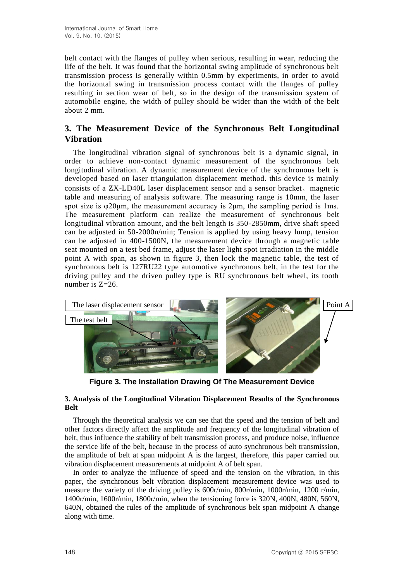belt contact with the flanges of pulley when serious, resulting in wear, reducing the life of the belt. It was found that the horizontal swing amplitude of synchronous belt transmission process is generally within 0.5mm by experiments, in order to avoid the horizontal swing in transmission process contact with the flanges of pulley resulting in section wear of belt, so in the design of the transmission system of automobile engine, the width of pulley should be wider than the width of the belt about 2 mm.

# **3. The Measurement Device of the Synchronous Belt Longitudinal Vibration**

The longitudinal vibration signal of synchronous belt is a dynamic signal, in order to achieve non-contact dynamic measurement of the synchronous belt longitudinal vibration. A dynamic measurement device of the synchronous belt is developed based on laser triangulation displacement method. this device is mainly consists of a ZX-LD40L laser displacement sensor and a sensor bracket、magnetic table and measuring of analysis software. The measuring range is 10mm, the laser spot size is φ20μm, the measurement accuracy is 2μm, the sampling period is 1ms. The measurement platform can realize the measurement of synchronous belt longitudinal vibration amount, and the belt length is 350-2850mm, drive shaft speed can be adjusted in 50-2000n/min; Tension is applied by using heavy lump, tension can be adjusted in 400-1500N, the measurement device through a magnetic table seat mounted on a test bed frame, adjust the laser light spot irradiation in the middle point A with span, as shown in figure 3, then lock the magnetic table, the test of synchronous belt is 127RU22 type automotive synchronous belt, in the test for the driving pulley and the driven pulley type is RU synchronous belt wheel, its tooth number is Z=26.



**Figure 3. The Installation Drawing Of The Measurement Device**

## **3. Analysis of the Longitudinal Vibration Displacement Results of the Synchronous Belt**

Through the theoretical analysis we can see that the speed and the tension of belt and other factors directly affect the amplitude and frequency of the longitudinal vibration of belt, thus influence the stability of belt transmission process, and produce noise, influence the service life of the belt, because in the process of auto synchronous belt transmission, the amplitude of belt at span midpoint A is the largest, therefore, this paper carried out vibration displacement measurements at midpoint A of belt span.

In order to analyze the influence of speed and the tension on the vibration, in this paper, the synchronous belt vibration displacement measurement device was used to measure the variety of the driving pulley is 600r/min, 800r/min, 1000r/min, 1200 r/min, 1400r/min, 1600r/min, 1800r/min, when the tensioning force is 320N, 400N, 480N, 560N, 640N, obtained the rules of the amplitude of synchronous belt span midpoint A change along with time.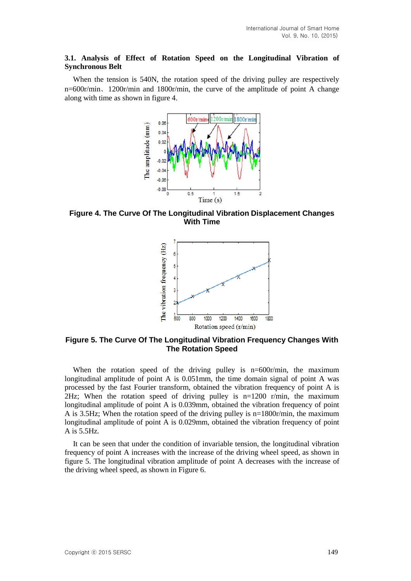## **3.1. Analysis of Effect of Rotation Speed on the Longitudinal Vibration of Synchronous Belt**

When the tension is 540N, the rotation speed of the driving pulley are respectively n=600r/min、1200r/min and 1800r/min, the curve of the amplitude of point A change along with time as shown in figure 4.



**Figure 4. The Curve Of The Longitudinal Vibration Displacement Changes With Time** 



**Figure 5. The Curve Of The Longitudinal Vibration Frequency Changes With The Rotation Speed**

When the rotation speed of the driving pulley is n=600r/min, the maximum longitudinal amplitude of point A is 0.051mm, the time domain signal of point A was processed by the fast Fourier transform, obtained the vibration frequency of point A is 2Hz; When the rotation speed of driving pulley is  $n=1200$  r/min, the maximum longitudinal amplitude of point A is 0.039mm, obtained the vibration frequency of point A is 3.5Hz; When the rotation speed of the driving pulley is n=1800r/min, the maximum longitudinal amplitude of point A is 0.029mm, obtained the vibration frequency of point A is 5.5Hz.

It can be seen that under the condition of invariable tension, the longitudinal vibration frequency of point A increases with the increase of the driving wheel speed, as shown in figure 5. The longitudinal vibration amplitude of point A decreases with the increase of the driving wheel speed, as shown in Figure 6.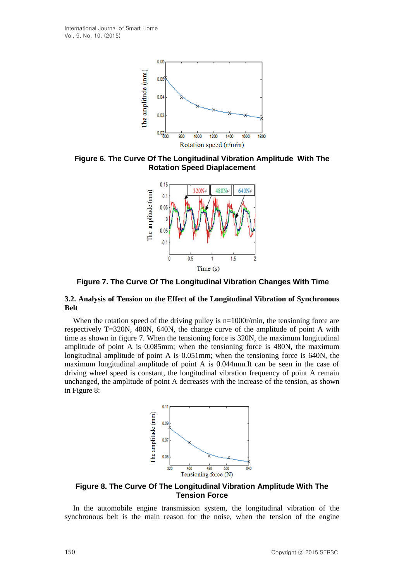

**Figure 6. The Curve Of The Longitudinal Vibration Amplitude With The Rotation Speed Diaplacement**



**Figure 7. The Curve Of The Longitudinal Vibration Changes With Time**

### **3.2. Analysis of Tension on the Effect of the Longitudinal Vibration of Synchronous Belt**

When the rotation speed of the driving pulley is n=1000r/min, the tensioning force are respectively T=320N, 480N, 640N, the change curve of the amplitude of point A with time as shown in figure 7. When the tensioning force is 320N, the maximum longitudinal amplitude of point A is 0.085mm; when the tensioning force is 480N, the maximum longitudinal amplitude of point A is 0.051mm; when the tensioning force is 640N, the maximum longitudinal amplitude of point A is 0.044mm.It can be seen in the case of driving wheel speed is constant, the longitudinal vibration frequency of point A remain unchanged, the amplitude of point A decreases with the increase of the tension, as shown in Figure 8:



## **Figure 8. The Curve Of The Longitudinal Vibration Amplitude With The Tension Force**

In the automobile engine transmission system, the longitudinal vibration of the synchronous belt is the main reason for the noise, when the tension of the engine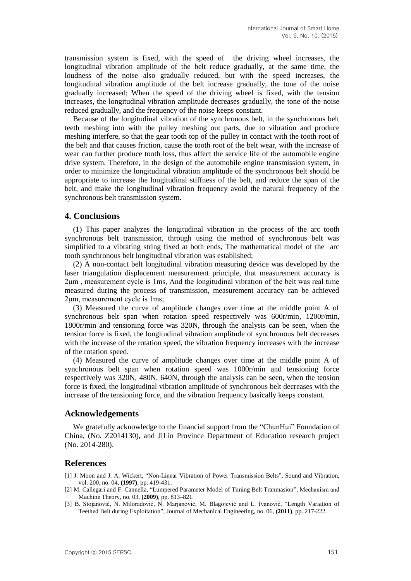transmission system is fixed, with the speed of the driving wheel increases, the longitudinal vibration amplitude of the belt reduce gradually, at the same time, the loudness of the noise also gradually reduced, but with the speed increases, the longitudinal vibration amplitude of the belt increase gradually, the tone of the noise gradually increased; When the speed of the driving wheel is fixed, with the tension increases, the longitudinal vibration amplitude decreases gradually, the tone of the noise reduced gradually, and the frequency of the noise keeps constant.

Because of the longitudinal vibration of the synchronous belt, in the synchronous belt teeth meshing into with the pulley meshing out parts, due to vibration and produce meshing interfere, so that the gear tooth top of the pulley in contact with the tooth root of the belt and that causes friction, cause the tooth root of the belt wear, with the increase of wear can further produce tooth loss, thus affect the service life of the automobile engine drive system. Therefore, in the design of the automobile engine transmission system, in order to minimize the longitudinal vibration amplitude of the synchronous belt should be appropriate to increase the longitudinal stiffness of the belt, and reduce the span of the belt, and make the longitudinal vibration frequency avoid the natural frequency of the synchronous belt transmission system.

#### **4. Conclusions**

(1) This paper analyzes the longitudinal vibration in the process of the arc tooth synchronous belt transmission, through using the method of synchronous belt was simplified to a vibrating string fixed at both ends, The mathematical model of the arc tooth synchronous belt longitudinal vibration was established;

(2) A non-contact belt longitudinal vibration measuring device was developed by the laser triangulation displacement measurement principle, that measurement accuracy is 2μm , measurement cycle is 1ms, And the longitudinal vibration of the belt was real time measured during the process of transmission, measurement accuracy can be achieved 2μm, measurement cycle is 1ms;

(3) Measured the curve of amplitude changes over time at the middle point A of synchronous belt span when rotation speed respectively was 600r/min, 1200r/min, 1800r/min and tensioning force was 320N, through the analysis can be seen, when the tension force is fixed, the longitudinal vibration amplitude of synchronous belt decreases with the increase of the rotation speed, the vibration frequency increases with the increase of the rotation speed.

(4) Measured the curve of amplitude changes over time at the middle point A of synchronous belt span when rotation speed was 1000r/min and tensioning force respectively was 320N, 480N, 640N, through the analysis can be seen, when the tension force is fixed, the longitudinal vibration amplitude of synchronous belt decreases with the increase of the tensioning force, and the vibration frequency basically keeps constant.

### **Acknowledgements**

We gratefully acknowledge to the financial support from the "ChunHui" Foundation of China, (No. Z2014130), and JiLin Province Department of Education research project (No. 2014-280).

### **References**

- [1] J. Moon and J. A. Wickert, "Non-Linear Vibration of Power Transmission Belts", Sound and Vibration, vol. 200, no. 04, **(1997)**, pp. 419-431.
- [2] M. Callegari and F. Cannella, "Lumpered Parameter Model of Timing Belt Tranmasion", Mechanism and Machine Theory, no. 03, **(2009)**, pp. 813–821.
- [3] B. Stojanović, N. Miloradović, N. Marjanović, M. Blagojević and L. Ivanović, "Length Variation of Teethed Belt during Exploitation", Journal of Mechanical Engineering, no. 06, **(2011)**, pp. 217-222.